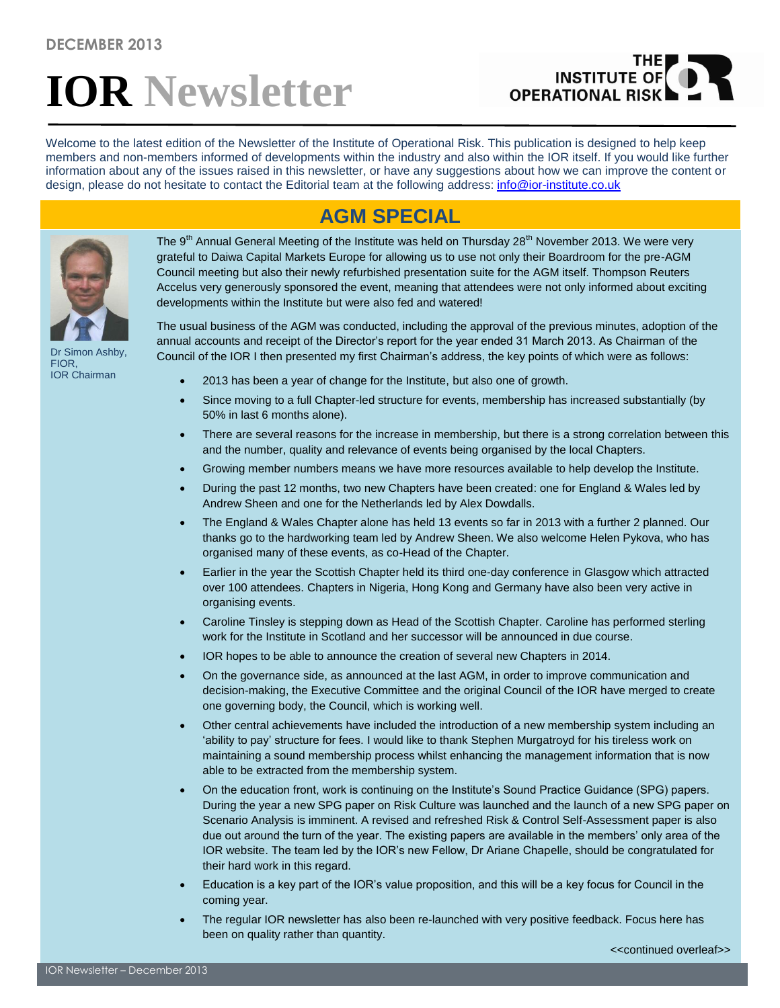# **IOR Newsletter**

## **INSTITUTE OF OPERATIONAL RISK**

Welcome to the latest edition of the Newsletter of the Institute of Operational Risk. This publication is designed to help keep members and non-members informed of developments within the industry and also within the IOR itself. If you would like further information about any of the issues raised in this newsletter, or have any suggestions about how we can improve the content or design, please do not hesitate to contact the Editorial team at the following address: [info@ior-institute.co.uk](mailto:info@ior-institute.co.uk)

### **AGM SPECIAL**



Dr Simon Ashby, FIOR, IOR Chairman

The 9<sup>th</sup> Annual General Meeting of the Institute was held on Thursday 28<sup>th</sup> November 2013. We were very grateful to Daiwa Capital Markets Europe for allowing us to use not only their Boardroom for the pre-AGM Council meeting but also their newly refurbished presentation suite for the AGM itself. Thompson Reuters Accelus very generously sponsored the event, meaning that attendees were not only informed about exciting developments within the Institute but were also fed and watered!

The usual business of the AGM was conducted, including the approval of the previous minutes, adoption of the annual accounts and receipt of the Director's report for the year ended 31 March 2013. As Chairman of the Council of the IOR I then presented my first Chairman's address, the key points of which were as follows:

- 2013 has been a year of change for the Institute, but also one of growth.
- Since moving to a full Chapter-led structure for events, membership has increased substantially (by 50% in last 6 months alone).
- There are several reasons for the increase in membership, but there is a strong correlation between this and the number, quality and relevance of events being organised by the local Chapters.
- Growing member numbers means we have more resources available to help develop the Institute.
- During the past 12 months, two new Chapters have been created: one for England & Wales led by Andrew Sheen and one for the Netherlands led by Alex Dowdalls.
- The England & Wales Chapter alone has held 13 events so far in 2013 with a further 2 planned. Our thanks go to the hardworking team led by Andrew Sheen. We also welcome Helen Pykova, who has organised many of these events, as co-Head of the Chapter.
- Earlier in the year the Scottish Chapter held its third one-day conference in Glasgow which attracted over 100 attendees. Chapters in Nigeria, Hong Kong and Germany have also been very active in organising events.
- Caroline Tinsley is stepping down as Head of the Scottish Chapter. Caroline has performed sterling work for the Institute in Scotland and her successor will be announced in due course.
- IOR hopes to be able to announce the creation of several new Chapters in 2014.
- On the governance side, as announced at the last AGM, in order to improve communication and decision-making, the Executive Committee and the original Council of the IOR have merged to create one governing body, the Council, which is working well.
- Other central achievements have included the introduction of a new membership system including an 'ability to pay' structure for fees. I would like to thank Stephen Murgatroyd for his tireless work on maintaining a sound membership process whilst enhancing the management information that is now able to be extracted from the membership system.
- On the education front, work is continuing on the Institute's Sound Practice Guidance (SPG) papers. During the year a new SPG paper on Risk Culture was launched and the launch of a new SPG paper on Scenario Analysis is imminent. A revised and refreshed Risk & Control Self-Assessment paper is also due out around the turn of the year. The existing papers are available in the members' only area of the IOR website. The team led by the IOR's new Fellow, Dr Ariane Chapelle, should be congratulated for their hard work in this regard.
- Education is a key part of the IOR's value proposition, and this will be a key focus for Council in the coming year.
- The regular IOR newsletter has also been re-launched with very positive feedback. Focus here has been on quality rather than quantity.